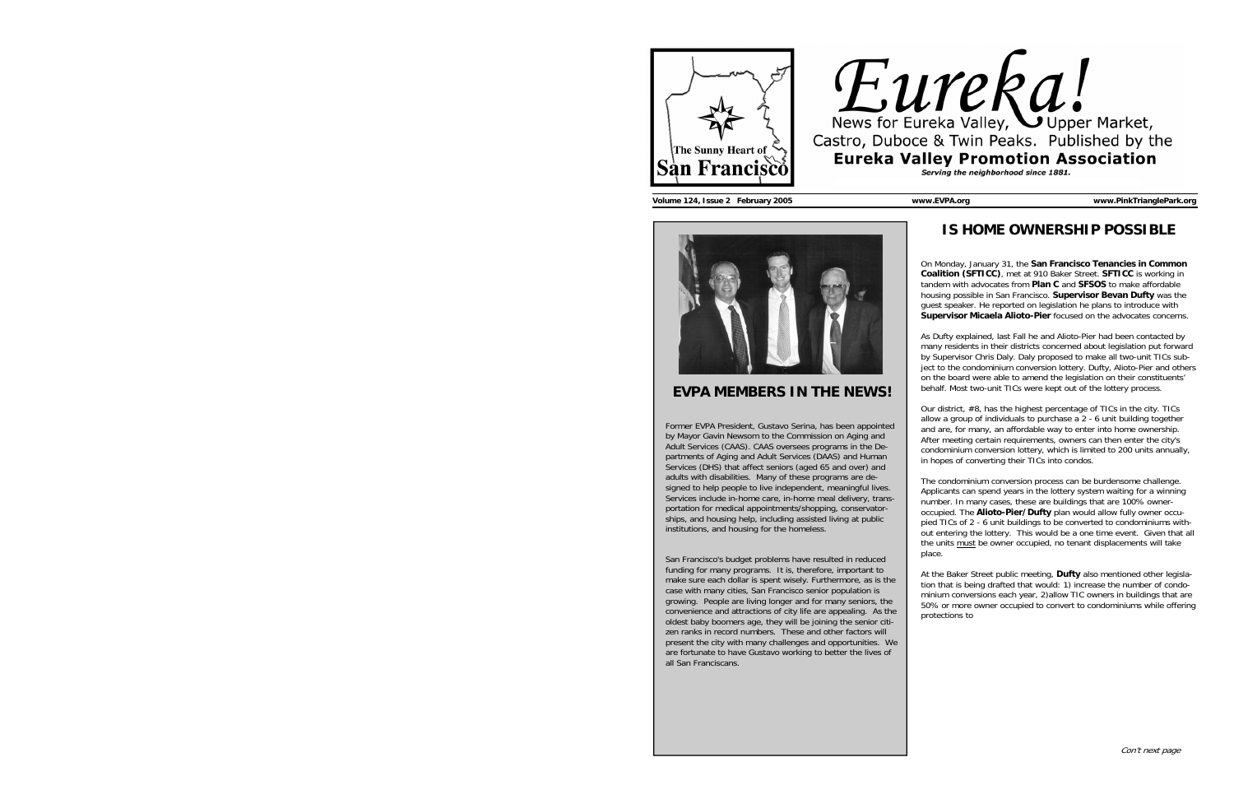



**Volume 124, Issue 2 February 2005 www.EVPA.org www.PinkTrianglePark.org** 



## **EVPA MEMBERS IN THE NEWS!**

Former EVPA President, Gustavo Serina, has been appointed by Mayor Gavin Newsom to the Commission on Aging and Adult Services (CAAS). CAAS oversees programs in the Departments of Aging and Adult Services (DAAS) and Human Services (DHS) that affect seniors (aged 65 and over) and adults with disabilities. Many of these programs are designed to help people to live independent, meaningful lives. Services include in-home care, in-home meal delivery, transportation for medical appointments/shopping, conservatorships, and housing help, including assisted living at public institutions, and housing for the homeless.

San Francisco's budget problems have resulted in reduced funding for many programs. It is, therefore, important to make sure each dollar is spent wisely. Furthermore, as is the case with many cities, San Francisco senior population is growing. People are living longer and for many seniors, the convenience and attractions of city life are appealing. As the oldest baby boomers age, they will be joining the senior citizen ranks in record numbers. These and other factors will present the city with many challenges and opportunities. We are fortunate to have Gustavo working to better the lives of all San Franciscans.

## **IS HOME OWNERSHIP POSSIBLE**

On Monday, January 31, the **San Francisco Tenancies in Common Coalition (SFTICC)**, met at 910 Baker Street. **SFTICC** is working in tandem with advocates from **Plan C** and **SFSOS** to make affordable housing possible in San Francisco. **Supervisor Bevan Dufty** was the guest speaker. He reported on legislation he plans to introduce with **Supervisor Micaela Alioto-Pier** focused on the advocates concerns.

As Dufty explained, last Fall he and Alioto-Pier had been contacted by many residents in their districts concerned about legislation put forward by Supervisor Chris Daly. Daly proposed to make all two-unit TICs subject to the condominium conversion lottery. Dufty, Alioto-Pier and others on the board were able to amend the legislation on their constituents' behalf. Most two-unit TICs were kept out of the lottery process.

Our district, #8, has the highest percentage of TICs in the city. TICs allow a group of individuals to purchase a 2 - 6 unit building together and are, for many, an affordable way to enter into home ownership. After meeting certain requirements, owners can then enter the city's condominium conversion lottery, which is limited to 200 units annually, in hopes of converting their TICs into condos.

The condominium conversion process can be burdensome challenge. Applicants can spend years in the lottery system waiting for a winning number. In many cases, these are buildings that are 100% owneroccupied. The **Alioto-Pier/Dufty** plan would allow fully owner occupied TICs of 2 - 6 unit buildings to be converted to condominiums without entering the lottery. This would be a one time event. Given that all the units must be owner occupied, no tenant displacements will take place.

At the Baker Street public meeting, **Dufty** also mentioned other legislation that is being drafted that would: 1) increase the number of condominium conversions each year, 2)allow TIC owners in buildings that are 50% or more owner occupied to convert to condominiums while offering protections to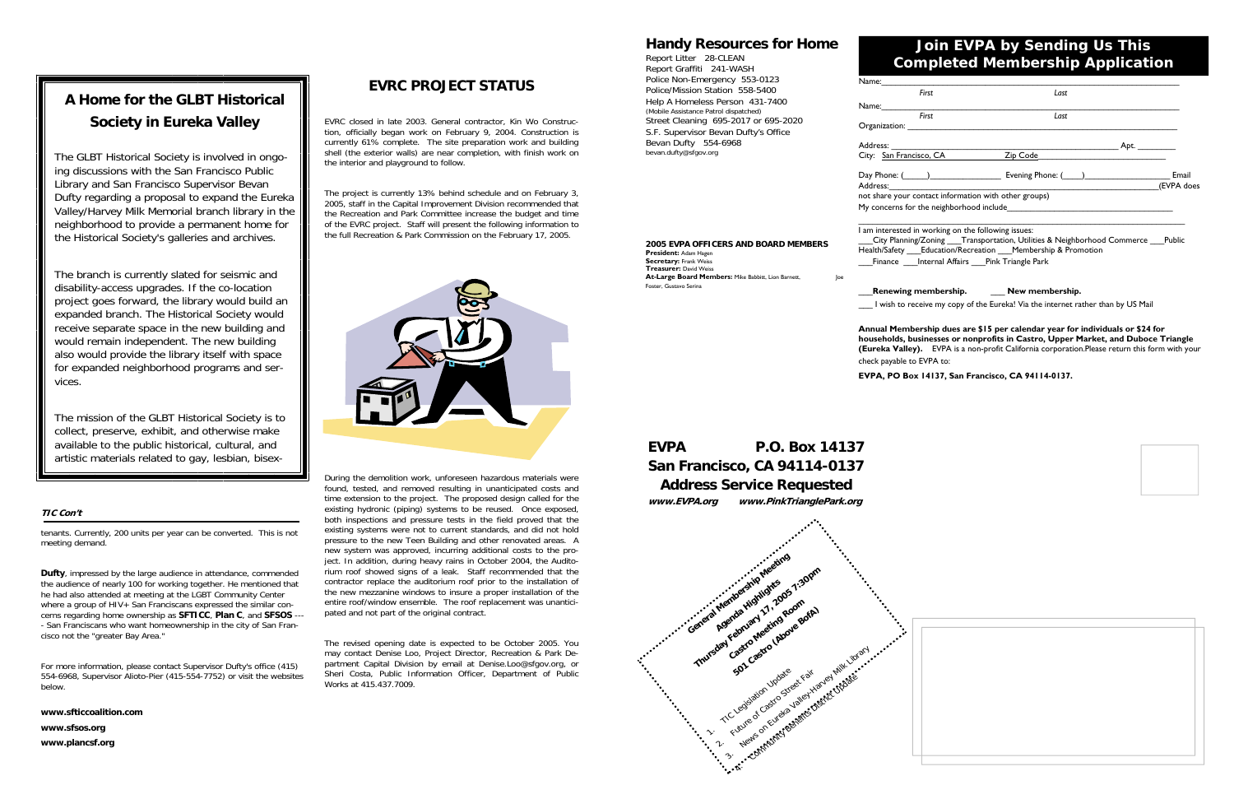## **EVRC PROJECT STATUS**

EVRC closed in late 2003. General contractor, Kin Wo Construction, officially began work on February 9, 2004. Construction is currently 61% complete. The site preparation work and building shell (the exterior walls) are near completion, with finish work on the interior and playground to follow.

The project is currently 13% behind schedule and on February 3, 2005, staff in the Capital Improvement Division recommended that the Recreation and Park Committee increase the budget and time of the EVRC project. Staff will present the following information to the full Recreation & Park Commission on the February 17, 2005.



During the demolition work, unforeseen hazardous materials were found, tested, and removed resulting in unanticipated costs and time extension to the project. The proposed design called for the existing hydronic (piping) systems to be reused. Once exposed, both inspections and pressure tests in the field proved that the existing systems were not to current standards, and did not hold pressure to the new Teen Building and other renovated areas. A new system was approved, incurring additional costs to the project. In addition, during heavy rains in October 2004, the Auditorium roof showed signs of a leak. Staff recommended that the contractor replace the auditorium roof prior to the installation of the new mezzanine windows to insure a proper installation of the entire roof/window ensemble. The roof replacement was unanticipated and not part of the original contract.

The revised opening date is expected to be October 2005. You may contact Denise Loo, Project Director, Recreation & Park Department Capital Division by email at Denise.Loo@sfgov.org, or Sheri Costa, Public Information Officer, Department of Public Works at 415.437.7009.

### **TIC Con't**

tenants. Currently, 200 units per year can be converted. This is not meeting demand.

**2005 EVPA OFFICERS AND BOARD MEMBERS At-Large Board Members:** Mike Babbitt, Lion Barnett, Joe

**Dufty**, impressed by the large audience in attendance, commended the audience of nearly 100 for working together. He mentioned that he had also attended at meeting at the LGBT Community Center where a group of HIV+ San Franciscans expressed the similar concerns regarding home ownership as **SFTICC**, **Plan C**, and **SFSOS** --- - San Franciscans who want homeownership in the city of San Francisco not the "greater Bay Area."

For more information, please contact Supervisor Dufty's office (415) 554-6968, Supervisor Alioto-Pier (415-554-7752) or visit the websites below.

**www.sfticcoalition.com www.sfsos.org** 

**www.plancsf.org**

# **A Home for the GLBT Historical Society in Eureka Valley**

The GLBT Historical Society is involved in ongoing discussions with the San Francisco Public Library and San Francisco Supervisor Bevan Dufty regarding a proposal to expand the Eureka Valley/Harvey Milk Memorial branch library in the neighborhood to provide a permanent home for the Historical Society's galleries and archives.

The branch is currently slated for seismic and disability-access upgrades. If the co-location project goes forward, the library would build an expanded branch. The Historical Society would receive separate space in the new building and would remain independent. The new building also would provide the library itself with space for expanded neighborhood programs and services.

The mission of the GLBT Historical Society is to collect, preserve, exhibit, and otherwise make available to the public historical, cultural, and artistic materials related to gay, lesbian, bisex-

# **EVPA P.O. Box 14137 San Francisco, CA 94114-0137 Address Service Requested www.EVPA.org www.PinkTrianglePark.org**

**President:** Adam Hagen **Secretary:** Frank Weiss **Treasurer:** David Weiss

Foster, Gustavo Serina



| <b>Handy Resources for Home</b><br>Report Litter 28-CLEAN<br>Report Graffiti 241-WASH<br>Police Non-Emergency 553-0123<br>Police/Mission Station 558-5400<br>Help A Homeless Person 431-7400<br>(Mobile Assistance Patrol dispatched)<br>Street Cleaning 695-2017 or 695-2020<br>S.F. Supervisor Bevan Dufty's Office<br>Bevan Dufty 554-6968<br>bevan.dufty@sfgov.org | Join EVPA by Sending Us This<br><b>Completed Membership Application</b>                                                                                                                                                        |                                                                                                                                            |                      |
|------------------------------------------------------------------------------------------------------------------------------------------------------------------------------------------------------------------------------------------------------------------------------------------------------------------------------------------------------------------------|--------------------------------------------------------------------------------------------------------------------------------------------------------------------------------------------------------------------------------|--------------------------------------------------------------------------------------------------------------------------------------------|----------------------|
|                                                                                                                                                                                                                                                                                                                                                                        | Name:<br>First                                                                                                                                                                                                                 | Last                                                                                                                                       |                      |
|                                                                                                                                                                                                                                                                                                                                                                        | Name:<br><b>First</b><br>Organization:                                                                                                                                                                                         | Last                                                                                                                                       |                      |
|                                                                                                                                                                                                                                                                                                                                                                        | City: San Francisco, CA                                                                                                                                                                                                        | Zip Code                                                                                                                                   | Apt. $\_\_\_\_\_\_\$ |
|                                                                                                                                                                                                                                                                                                                                                                        | Address: and the state of the state of the state of the state of the state of the state of the state of the state of the state of the state of the state of the state of the state of the state of the state of the state of t | Evening Phone: ( )                                                                                                                         | Email<br>(EVPA does  |
|                                                                                                                                                                                                                                                                                                                                                                        | not share your contact information with other groups)<br>My concerns for the neighborhood include                                                                                                                              |                                                                                                                                            |                      |
| 2005 EVPA OFFICERS AND BOARD MEMBERS<br>President: Adam Hagen                                                                                                                                                                                                                                                                                                          | am interested in working on the following issues:                                                                                                                                                                              | City Planning/Zoning Transportation, Utilities & Neighborhood Commerce Public<br>Health/Safety Education/Recreation Membership & Promotion |                      |

Finance \_\_\_\_Internal Affairs \_\_\_Pink Triangle Park

## \_\_\_**Renewing membership.** \_\_\_ **New membership.**

I wish to receive my copy of the Eureka! Via the internet rather than by US Mail

#### **Annual Membership dues are \$15 per calendar year for individuals or \$24 for**

**households, businesses or nonprofits in Castro, Upper Market, and Duboce Triangle (Eureka Valley).** EVPA is a non-profit California corporation.Please return this form with your

check payable to EVPA to:

### **EVPA, PO Box 14137, San Francisco, CA 94114-0137.**